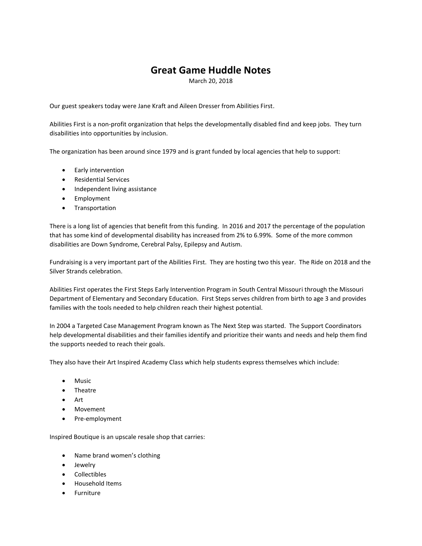## **Great Game Huddle Notes**

March 20, 2018

Our guest speakers today were Jane Kraft and Aileen Dresser from Abilities First.

Abilities First is a non-profit organization that helps the developmentally disabled find and keep jobs. They turn disabilities into opportunities by inclusion.

The organization has been around since 1979 and is grant funded by local agencies that help to support:

- Early intervention
- Residential Services
- Independent living assistance
- Employment
- **•** Transportation

There is a long list of agencies that benefit from this funding. In 2016 and 2017 the percentage of the population that has some kind of developmental disability has increased from 2% to 6.99%. Some of the more common disabilities are Down Syndrome, Cerebral Palsy, Epilepsy and Autism.

Fundraising is a very important part of the Abilities First. They are hosting two this year. The Ride on 2018 and the Silver Strands celebration.

Abilities First operates the First Steps Early Intervention Program in South Central Missouri through the Missouri Department of Elementary and Secondary Education. First Steps serves children from birth to age 3 and provides families with the tools needed to help children reach their highest potential.

In 2004 a Targeted Case Management Program known as The Next Step was started. The Support Coordinators help developmental disabilities and their families identify and prioritize their wants and needs and help them find the supports needed to reach their goals.

They also have their Art Inspired Academy Class which help students express themselves which include:

- Music
- Theatre
- Art
- Movement
- Pre-employment

Inspired Boutique is an upscale resale shop that carries:

- Name brand women's clothing
- Jewelry
- Collectibles
- Household Items
- Furniture